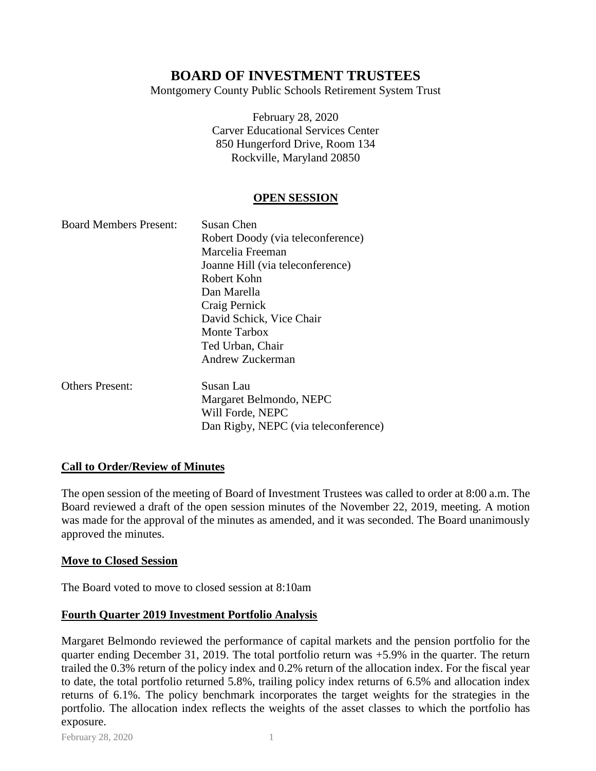Montgomery County Public Schools Retirement System Trust

February 28, 2020 Carver Educational Services Center 850 Hungerford Drive, Room 134 Rockville, Maryland 20850

## **OPEN SESSION**

| <b>Board Members Present:</b> | Susan Chen                        |
|-------------------------------|-----------------------------------|
|                               | Robert Doody (via teleconference) |
|                               | Marcelia Freeman                  |
|                               | Joanne Hill (via teleconference)  |
|                               | Robert Kohn                       |
|                               | Dan Marella                       |
|                               | Craig Pernick                     |
|                               | David Schick, Vice Chair          |
|                               | <b>Monte Tarbox</b>               |
|                               | Ted Urban, Chair                  |
|                               | Andrew Zuckerman                  |
| <b>Others Present:</b>        | Susan Lau                         |
|                               | Morgarot Rolmondo NEDC            |

Margaret Belmondo, NEPC Will Forde, NEPC Dan Rigby, NEPC (via teleconference)

## **Call to Order/Review of Minutes**

The open session of the meeting of Board of Investment Trustees was called to order at 8:00 a.m. The Board reviewed a draft of the open session minutes of the November 22, 2019, meeting. A motion was made for the approval of the minutes as amended, and it was seconded. The Board unanimously approved the minutes.

## **Move to Closed Session**

The Board voted to move to closed session at 8:10am

## **Fourth Quarter 2019 Investment Portfolio Analysis**

Margaret Belmondo reviewed the performance of capital markets and the pension portfolio for the quarter ending December 31, 2019. The total portfolio return was +5.9% in the quarter. The return trailed the 0.3% return of the policy index and 0.2% return of the allocation index. For the fiscal year to date, the total portfolio returned 5.8%, trailing policy index returns of 6.5% and allocation index returns of 6.1%. The policy benchmark incorporates the target weights for the strategies in the portfolio. The allocation index reflects the weights of the asset classes to which the portfolio has exposure.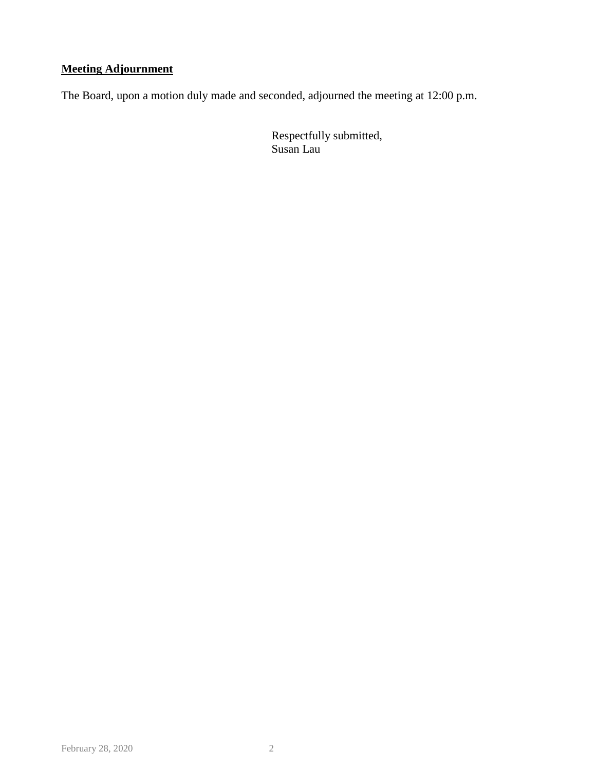## **Meeting Adjournment**

The Board, upon a motion duly made and seconded, adjourned the meeting at 12:00 p.m.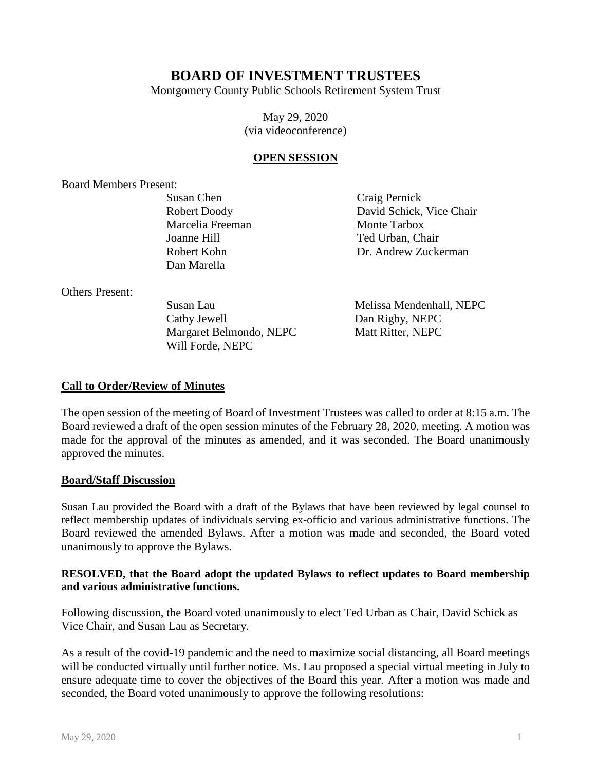Montgomery County Public Schools Retirement System Trust

May 29, 2020 (via videoconference)

#### **OPEN SESSION**

Board Members Present:

Susan Chen Robert Doody Marcelia Freeman Joanne Hill Robert Kohn Dan Marella

Craig Pernick David Schick, Vice Chair Monte Tarbox Ted Urban, Chair Dr. Andrew Zuckerman

Others Present:

Susan Lau Cathy Jewell Margaret Belmondo, NEPC Will Forde, NEPC

Melissa Mendenhall, NEPC Dan Rigby, NEPC Matt Ritter, NEPC

## **Call to Order/Review of Minutes**

The open session of the meeting of Board of Investment Trustees was called to order at 8:15 a.m. The Board reviewed a draft of the open session minutes of the February 28, 2020, meeting. A motion was made for the approval of the minutes as amended, and it was seconded. The Board unanimously approved the minutes.

#### **Board/Staff Discussion**

Susan Lau provided the Board with a draft of the Bylaws that have been reviewed by legal counsel to reflect membership updates of individuals serving ex-officio and various administrative functions. The Board reviewed the amended Bylaws. After a motion was made and seconded, the Board voted unanimously to approve the Bylaws.

#### **RESOLVED, that the Board adopt the updated Bylaws to reflect updates to Board membership and various administrative functions.**

Following discussion, the Board voted unanimously to elect Ted Urban as Chair, David Schick as Vice Chair, and Susan Lau as Secretary.

As a result of the covid-19 pandemic and the need to maximize social distancing, all Board meetings will be conducted virtually until further notice. Ms. Lau proposed a special virtual meeting in July to ensure adequate time to cover the objectives of the Board this year. After a motion was made and seconded, the Board voted unanimously to approve the following resolutions: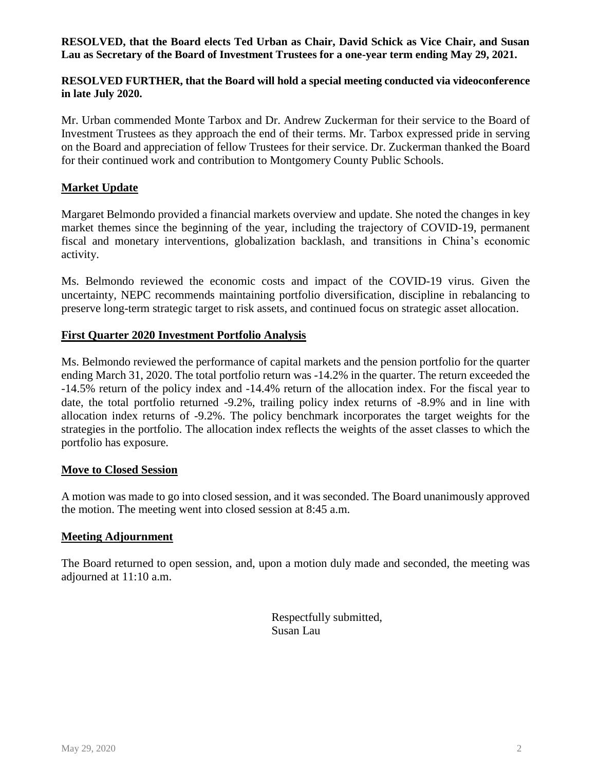## **RESOLVED, that the Board elects Ted Urban as Chair, David Schick as Vice Chair, and Susan Lau as Secretary of the Board of Investment Trustees for a one-year term ending May 29, 2021.**

## **RESOLVED FURTHER, that the Board will hold a special meeting conducted via videoconference in late July 2020.**

Mr. Urban commended Monte Tarbox and Dr. Andrew Zuckerman for their service to the Board of Investment Trustees as they approach the end of their terms. Mr. Tarbox expressed pride in serving on the Board and appreciation of fellow Trustees for their service. Dr. Zuckerman thanked the Board for their continued work and contribution to Montgomery County Public Schools.

## **Market Update**

Margaret Belmondo provided a financial markets overview and update. She noted the changes in key market themes since the beginning of the year, including the trajectory of COVID-19, permanent fiscal and monetary interventions, globalization backlash, and transitions in China's economic activity.

Ms. Belmondo reviewed the economic costs and impact of the COVID-19 virus. Given the uncertainty, NEPC recommends maintaining portfolio diversification, discipline in rebalancing to preserve long-term strategic target to risk assets, and continued focus on strategic asset allocation.

## **First Quarter 2020 Investment Portfolio Analysis**

Ms. Belmondo reviewed the performance of capital markets and the pension portfolio for the quarter ending March 31, 2020. The total portfolio return was -14.2% in the quarter. The return exceeded the -14.5% return of the policy index and -14.4% return of the allocation index. For the fiscal year to date, the total portfolio returned -9.2%, trailing policy index returns of -8.9% and in line with allocation index returns of -9.2%. The policy benchmark incorporates the target weights for the strategies in the portfolio. The allocation index reflects the weights of the asset classes to which the portfolio has exposure.

## **Move to Closed Session**

A motion was made to go into closed session, and it was seconded. The Board unanimously approved the motion. The meeting went into closed session at 8:45 a.m.

## **Meeting Adjournment**

The Board returned to open session, and, upon a motion duly made and seconded, the meeting was adjourned at 11:10 a.m.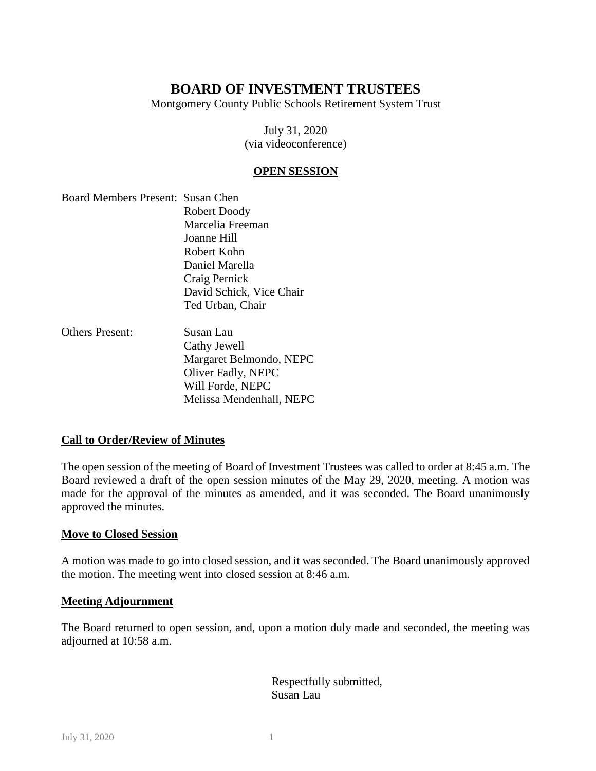Montgomery County Public Schools Retirement System Trust

July 31, 2020 (via videoconference)

## **OPEN SESSION**

| Board Members Present: Susan Chen |                          |
|-----------------------------------|--------------------------|
|                                   | Robert Doody             |
|                                   | Marcelia Freeman         |
|                                   | Joanne Hill              |
|                                   | Robert Kohn              |
|                                   | Daniel Marella           |
|                                   | Craig Pernick            |
|                                   | David Schick, Vice Chair |
|                                   | Ted Urban, Chair         |
|                                   |                          |

Others Present: Susan Lau Cathy Jewell Margaret Belmondo, NEPC Oliver Fadly, NEPC Will Forde, NEPC Melissa Mendenhall, NEPC

## **Call to Order/Review of Minutes**

The open session of the meeting of Board of Investment Trustees was called to order at 8:45 a.m. The Board reviewed a draft of the open session minutes of the May 29, 2020, meeting. A motion was made for the approval of the minutes as amended, and it was seconded. The Board unanimously approved the minutes.

## **Move to Closed Session**

A motion was made to go into closed session, and it was seconded. The Board unanimously approved the motion. The meeting went into closed session at 8:46 a.m.

## **Meeting Adjournment**

The Board returned to open session, and, upon a motion duly made and seconded, the meeting was adjourned at 10:58 a.m.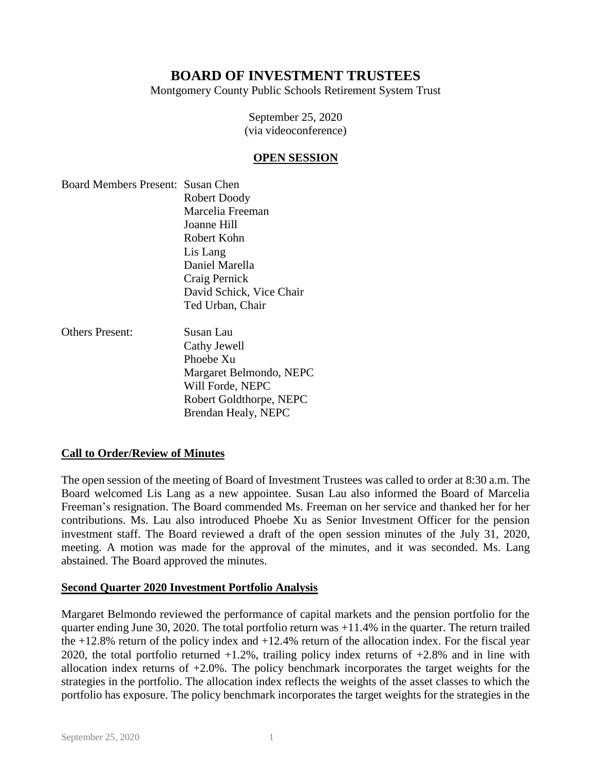Montgomery County Public Schools Retirement System Trust

September 25, 2020 (via videoconference)

#### **OPEN SESSION**

Board Members Present: Susan Chen Robert Doody Marcelia Freeman Joanne Hill Robert Kohn Lis Lang Daniel Marella Craig Pernick David Schick, Vice Chair Ted Urban, Chair

Others Present: Susan Lau

Cathy Jewell Phoebe Xu Margaret Belmondo, NEPC Will Forde, NEPC Robert Goldthorpe, NEPC Brendan Healy, NEPC

## **Call to Order/Review of Minutes**

The open session of the meeting of Board of Investment Trustees was called to order at 8:30 a.m. The Board welcomed Lis Lang as a new appointee. Susan Lau also informed the Board of Marcelia Freeman's resignation. The Board commended Ms. Freeman on her service and thanked her for her contributions. Ms. Lau also introduced Phoebe Xu as Senior Investment Officer for the pension investment staff. The Board reviewed a draft of the open session minutes of the July 31, 2020, meeting. A motion was made for the approval of the minutes, and it was seconded. Ms. Lang abstained. The Board approved the minutes.

## **Second Quarter 2020 Investment Portfolio Analysis**

Margaret Belmondo reviewed the performance of capital markets and the pension portfolio for the quarter ending June 30, 2020. The total portfolio return was  $+11.4\%$  in the quarter. The return trailed the  $+12.8\%$  return of the policy index and  $+12.4\%$  return of the allocation index. For the fiscal year 2020, the total portfolio returned +1.2%, trailing policy index returns of +2.8% and in line with allocation index returns of  $+2.0\%$ . The policy benchmark incorporates the target weights for the strategies in the portfolio. The allocation index reflects the weights of the asset classes to which the portfolio has exposure. The policy benchmark incorporates the target weights for the strategies in the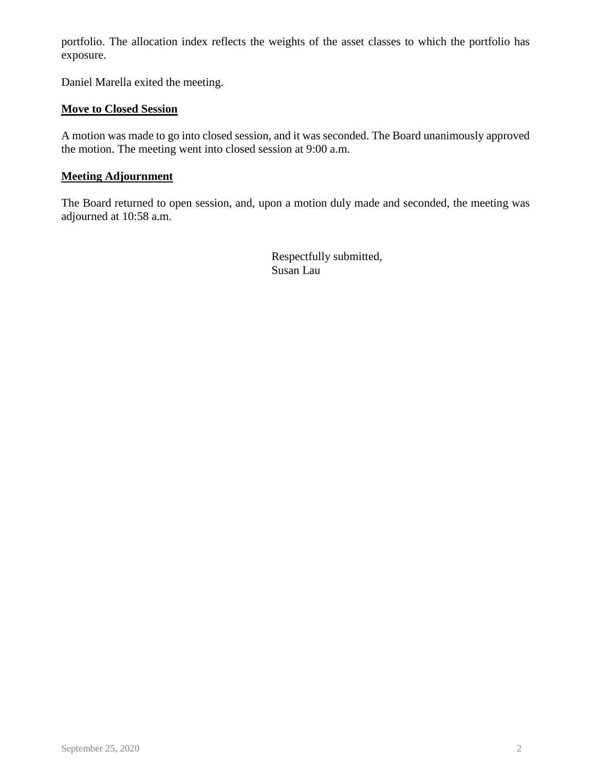portfolio. The allocation index reflects the weights of the asset classes to which the portfolio has exposure.

Daniel Marella exited the meeting.

## **Move to Closed Session**

A motion was made to go into closed session, and it was seconded. The Board unanimously approved the motion. The meeting went into closed session at 9:00 a.m.

## **Meeting Adjournment**

The Board returned to open session, and, upon a motion duly made and seconded, the meeting was adjourned at 10:58 a.m.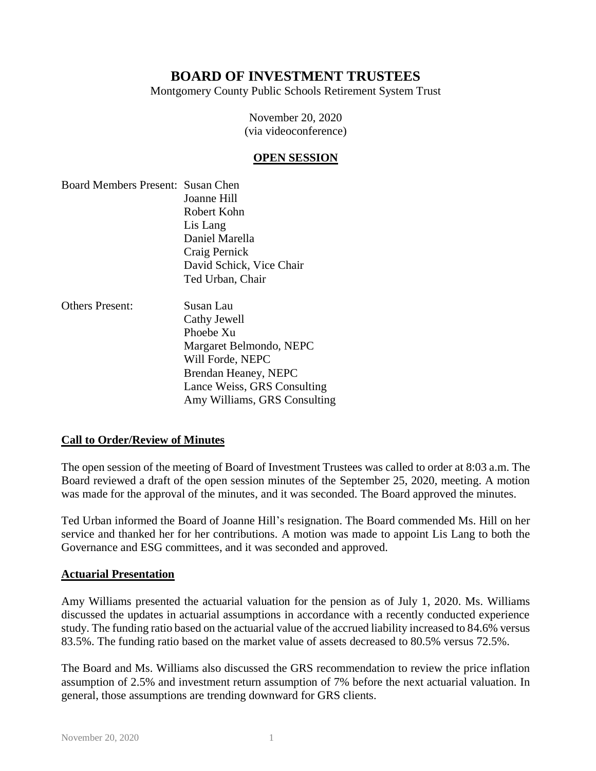Montgomery County Public Schools Retirement System Trust

November 20, 2020 (via videoconference)

#### **OPEN SESSION**

- Board Members Present: Susan Chen Joanne Hill Robert Kohn Lis Lang Daniel Marella Craig Pernick David Schick, Vice Chair Ted Urban, Chair
- Others Present: Susan Lau Cathy Jewell Phoebe Xu Margaret Belmondo, NEPC Will Forde, NEPC Brendan Heaney, NEPC Lance Weiss, GRS Consulting Amy Williams, GRS Consulting

## **Call to Order/Review of Minutes**

The open session of the meeting of Board of Investment Trustees was called to order at 8:03 a.m. The Board reviewed a draft of the open session minutes of the September 25, 2020, meeting. A motion was made for the approval of the minutes, and it was seconded. The Board approved the minutes.

Ted Urban informed the Board of Joanne Hill's resignation. The Board commended Ms. Hill on her service and thanked her for her contributions. A motion was made to appoint Lis Lang to both the Governance and ESG committees, and it was seconded and approved.

#### **Actuarial Presentation**

Amy Williams presented the actuarial valuation for the pension as of July 1, 2020. Ms. Williams discussed the updates in actuarial assumptions in accordance with a recently conducted experience study. The funding ratio based on the actuarial value of the accrued liability increased to 84.6% versus 83.5%. The funding ratio based on the market value of assets decreased to 80.5% versus 72.5%.

The Board and Ms. Williams also discussed the GRS recommendation to review the price inflation assumption of 2.5% and investment return assumption of 7% before the next actuarial valuation. In general, those assumptions are trending downward for GRS clients.